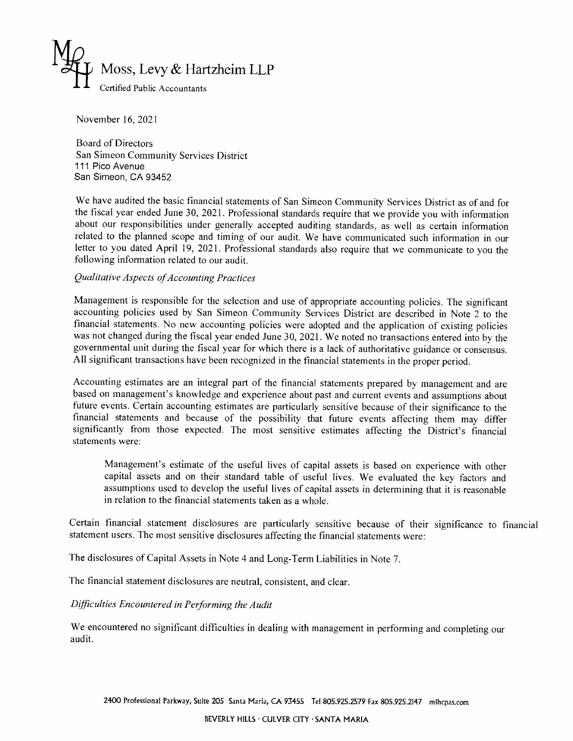

November 16, 2021

Board of Directors San Simeon Community Services District 111 Pico Avenue San Simeon, CA 93452

We have audited the basic financial statements of San Simeon Community Services District as of and for the fiscal year ended June 30, 2021. Professional standards require that we provide you with information about our responsibilities under generally accepted auditing standards, as well as certain information related to the planned scope and timing of our audit. We have communicated such information in our letter to you dated April 19, 2021. Professional standards also require that we communicate to you the following information related to our audit.

# Qualitative Aspects of Accounting Practices

Management is responsible for the selection and use of appropriate accounting policies. The significant accounting policies used by San Simeon Community Services District are described in Note 2 to the financial statements. No new accounting policies were adopted and the application of existing policies was not changed during the fiscal year ended June 30, 2021. We noted no transactions entered into by the governmental unit during the fiscal year for which there is a lack of authoritative guidance or consensus. All significant transactions have been recognized in the financial statements in the proper period.

Accounting estimates are an integral part of the financial statements prepared by management and are based on management's knowledge and experience about past and current events and assumptions about future events. Certain accounting estimates are particularly sensitive because of their significance to the financial statements and because of the possibility that future events affecting them may differ significantly from those expected. The most sensitive estimates affecting the District's financial statements were:

Management's estimate of the useful lives of capital assets is based on experience with other capital assets and on their standard table of useful lives. We evaluated the key factors and assumptions used to develop the useful lives of capital assets in determining that it is reasonable in relation to the financial statements taken as a whole.

Certain financial statement disclosures are particularly sensitive because of their significance to financial statement users. The most sensitive disclosures affecting the financial statements were:

The disclosures of Capital Assets in Note 4 and Long-Term Liabilities in Note 7.

The financial statement disclosures are neutral, consistent, and clear.

# Difficulties Encountered in Performing the Audit

We encountered no significant difficulties in dealing with management in performing and completing our audit.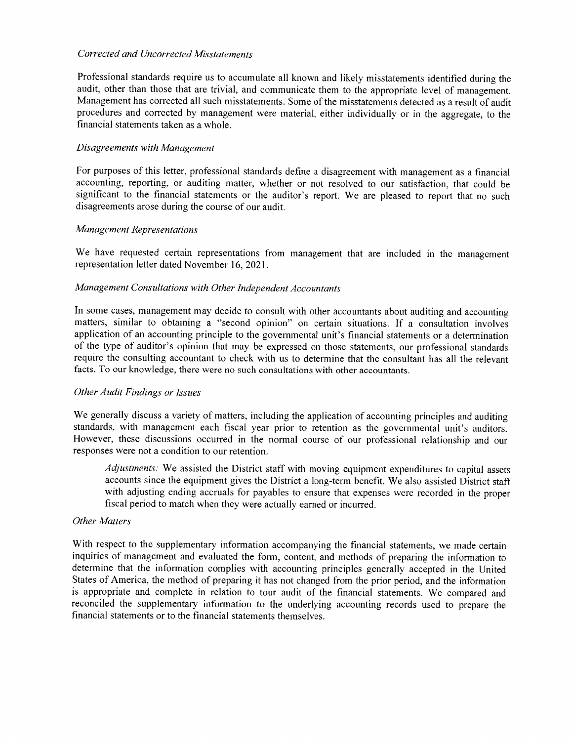# Corrected and Uncorrected Misstatements

Professional standards require us to accumulate all known and likely misstatements identified during the audit, other than those that are trivial, and communicate them to the appropriate level of management. Management has corrected all such misstatements. Some of the misstatements detected as a result of audit procedures and corrected by management were material, either individually or in the aggregate, to the financial statements taken as a whole.

## Disagreements with Management

For purposes of this letter, professional standards define a disagreement with management as a financial accounting, reporting, or auditing matter, whether or not resolved to our satisfaction, that could be significant to the financial statements or the auditor's report. We are pleased to report that no such disagreements arose during the course of our audit.

# **Management Representations**

We have requested certain representations from management that are included in the management representation letter dated November 16, 2021.

# Management Consultations with Other Independent Accountants

In some cases, management may decide to consult with other accountants about auditing and accounting matters, similar to obtaining a "second opinion" on certain situations. If a consultation involves application of an accounting principle to the governmental unit's financial statements or a determination of the type of auditor's opinion that may be expressed on those statements, our professional standards require the consulting accountant to check with us to determine that the consultant has all the relevant facts. To our knowledge, there were no such consultations with other accountants.

### Other Audit Findings or Issues

We generally discuss a variety of matters, including the application of accounting principles and auditing standards, with management each fiscal year prior to retention as the governmental unit's auditors. However, these discussions occurred in the normal course of our professional relationship and our responses were not a condition to our retention.

Adjustments: We assisted the District staff with moving equipment expenditures to capital assets accounts since the equipment gives the District a long-term benefit. We also assisted District staff with adjusting ending accruals for payables to ensure that expenses were recorded in the proper fiscal period to match when they were actually earned or incurred.

## **Other Matters**

With respect to the supplementary information accompanying the financial statements, we made certain inquiries of management and evaluated the form, content, and methods of preparing the information to determine that the information complies with accounting principles generally accepted in the United States of America, the method of preparing it has not changed from the prior period, and the information is appropriate and complete in relation to tour audit of the financial statements. We compared and reconciled the supplementary information to the underlying accounting records used to prepare the financial statements or to the financial statements themselves.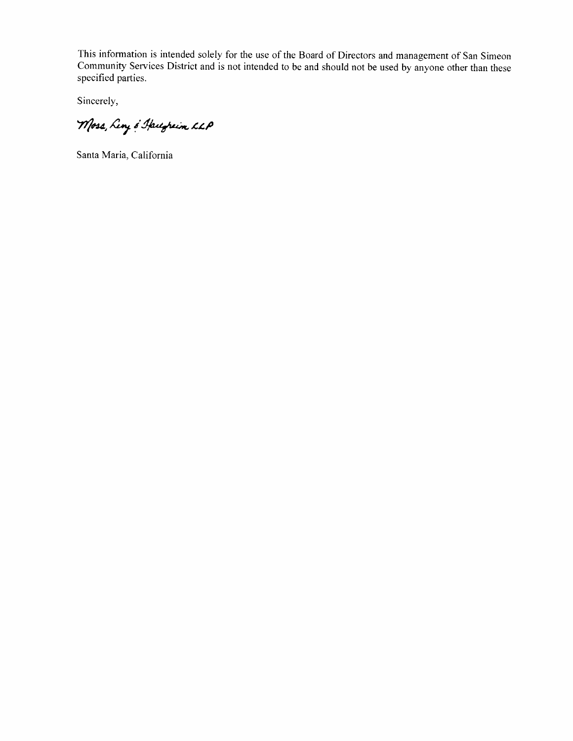This information is intended solely for the use of the Board of Directors and management of San Simeon Community Services District and is not intended to be and should not be used by anyone other than these specified parties.

Sincerely,

Moss, Leny ó Haugrein LLP

Santa Maria, California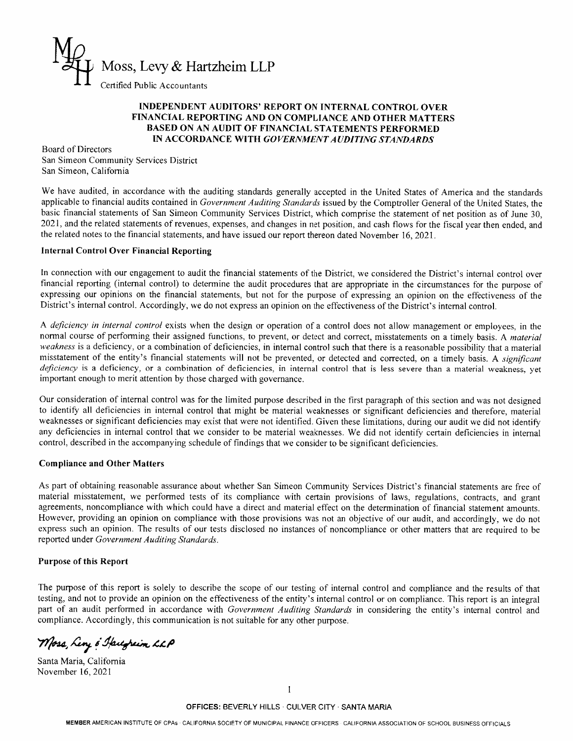

# INDEPENDENT AUDITORS' REPORT ON INTERNAL CONTROL OVER FINANCIAL REPORTING AND ON COMPLIANCE AND OTHER MATTERS **BASED ON AN AUDIT OF FINANCIAL STATEMENTS PERFORMED** IN ACCORDANCE WITH GOVERNMENT AUDITING STANDARDS

**Board of Directors** San Simeon Community Services District San Simeon, California

We have audited, in accordance with the auditing standards generally accepted in the United States of America and the standards applicable to financial audits contained in Government Auditing Standards issued by the Comptroller General of the United States, the basic financial statements of San Simeon Community Services District, which comprise the statement of net position as of June 30, 2021, and the related statements of revenues, expenses, and changes in net position, and cash flows for the fiscal year then ended, and the related notes to the financial statements, and have issued our report thereon dated November 16, 2021.

#### **Internal Control Over Financial Reporting**

In connection with our engagement to audit the financial statements of the District, we considered the District's internal control over financial reporting (internal control) to determine the audit procedures that are appropriate in the circumstances for the purpose of expressing our opinions on the financial statements, but not for the purpose of expressing an opinion on the effectiveness of the District's internal control. Accordingly, we do not express an opinion on the effectiveness of the District's internal control.

A deficiency in internal control exists when the design or operation of a control does not allow management or employees, in the normal course of performing their assigned functions, to prevent, or detect and correct, misstatements on a timely basis. A material weakness is a deficiency, or a combination of deficiencies, in internal control such that there is a reasonable possibility that a material misstatement of the entity's financial statements will not be prevented, or detected and corrected, on a timely basis. A significant deficiency is a deficiency, or a combination of deficiencies, in internal control that is less severe than a material weakness, yet important enough to merit attention by those charged with governance.

Our consideration of internal control was for the limited purpose described in the first paragraph of this section and was not designed to identify all deficiencies in internal control that might be material weaknesses or significant deficiencies and therefore, material weaknesses or significant deficiencies may exist that were not identified. Given these limitations, during our audit we did not identify any deficiencies in internal control that we consider to be material weaknesses. We did not identify certain deficiencies in internal control, described in the accompanying schedule of findings that we consider to be significant deficiencies.

### **Compliance and Other Matters**

As part of obtaining reasonable assurance about whether San Simeon Community Services District's financial statements are free of material misstatement, we performed tests of its compliance with certain provisions of laws, regulations, contracts, and grant agreements, noncompliance with which could have a direct and material effect on the determination of financial statement amounts. However, providing an opinion on compliance with those provisions was not an objective of our audit, and accordingly, we do not express such an opinion. The results of our tests disclosed no instances of noncompliance or other matters that are required to be reported under Government Auditing Standards.

### **Purpose of this Report**

The purpose of this report is solely to describe the scope of our testing of internal control and compliance and the results of that testing, and not to provide an opinion on the effectiveness of the entity's internal control or on compliance. This report is an integral part of an audit performed in accordance with Government Auditing Standards in considering the entity's internal control and compliance. Accordingly, this communication is not suitable for any other purpose.

Mosa, Leny ó Haugreim LLP

Santa Maria, California November 16, 2021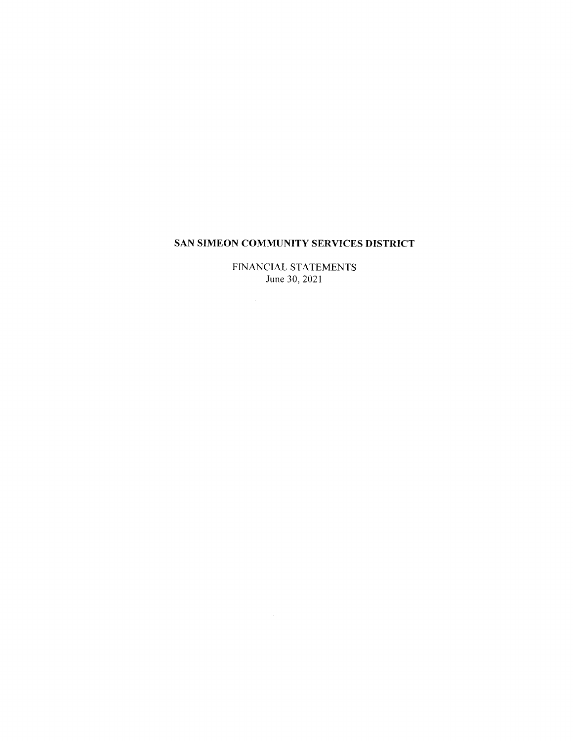FINANCIAL STATEMENTS June 30, 2021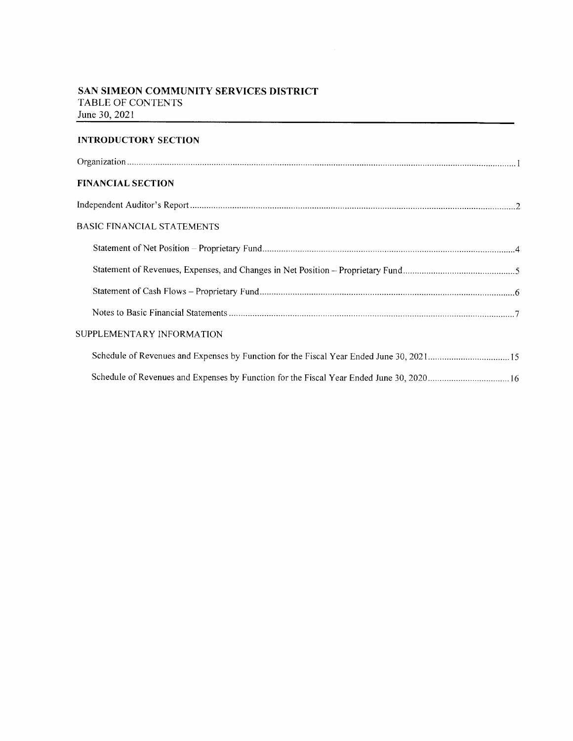# SAN SIMEON COMMUNITY SERVICES DISTRICT TABLE OF CONTENTS June 30, 2021

# INTRODUCTORY SECTION

| $\label{eq:main} \textbf{Organization} \textcolor{red}{\textbf{0}} \textbf{r} \textbf{a} \textbf{a} \textbf{b} \textbf{b} \textbf{b} \textbf{b} \textbf{b} \textbf{c} \textbf{b} \textbf{b} \textbf{c} \textbf{b} \textbf{b} \textbf{b} \textbf{c} \textbf{b} \textbf{b} \textbf{b} \textbf{c} \textbf{b} \textbf{b} \textbf{c} \textbf{b} \textbf{b} \textbf{c} \textbf{b} \textbf{c} \textbf{b} \textbf{c} \textbf{b} \textbf{c} \text$ |
|-------------------------------------------------------------------------------------------------------------------------------------------------------------------------------------------------------------------------------------------------------------------------------------------------------------------------------------------------------------------------------------------------------------------------------------------|
| <b>FINANCIAL SECTION</b>                                                                                                                                                                                                                                                                                                                                                                                                                  |
|                                                                                                                                                                                                                                                                                                                                                                                                                                           |
| <b>BASIC FINANCIAL STATEMENTS</b>                                                                                                                                                                                                                                                                                                                                                                                                         |
|                                                                                                                                                                                                                                                                                                                                                                                                                                           |
|                                                                                                                                                                                                                                                                                                                                                                                                                                           |
|                                                                                                                                                                                                                                                                                                                                                                                                                                           |
|                                                                                                                                                                                                                                                                                                                                                                                                                                           |
| SUPPLEMENTARY INFORMATION                                                                                                                                                                                                                                                                                                                                                                                                                 |
|                                                                                                                                                                                                                                                                                                                                                                                                                                           |
|                                                                                                                                                                                                                                                                                                                                                                                                                                           |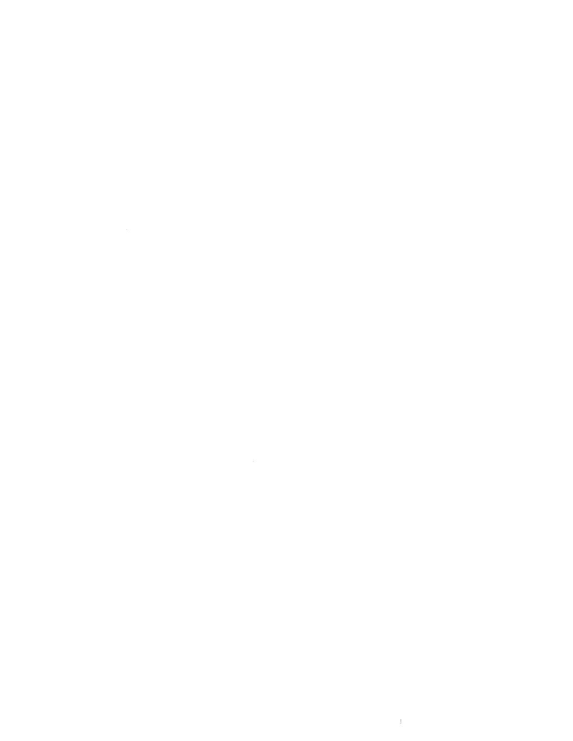$\label{eq:1} F_{\rm{max}}(t) = \frac{1}{2} \sum_{i=1}^n \frac{1}{2} \sum_{i=1}^n \frac{1}{2} \sum_{i=1}^n \frac{1}{2} \sum_{i=1}^n \frac{1}{2} \sum_{i=1}^n \frac{1}{2} \sum_{i=1}^n \frac{1}{2} \sum_{i=1}^n \frac{1}{2} \sum_{i=1}^n \frac{1}{2} \sum_{i=1}^n \frac{1}{2} \sum_{i=1}^n \frac{1}{2} \sum_{i=1}^n \frac{1}{2} \sum_{i=1}^n \frac{1}{2} \sum_{$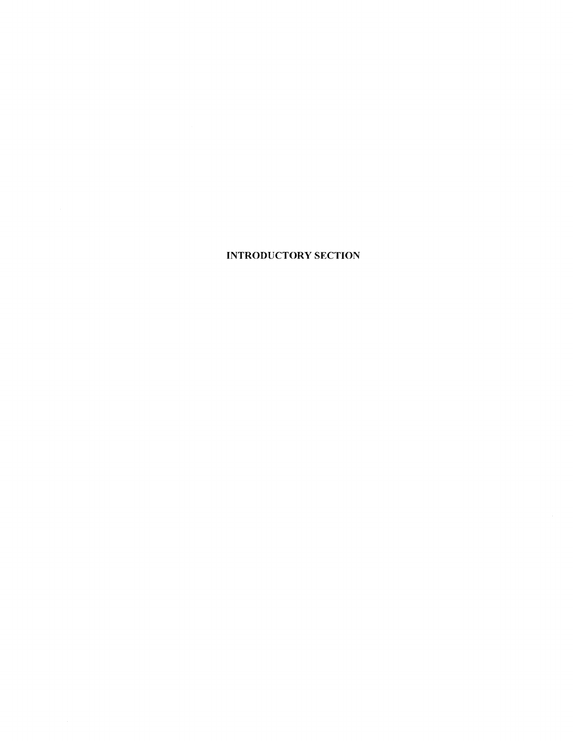**INTRODUCTORY SECTION**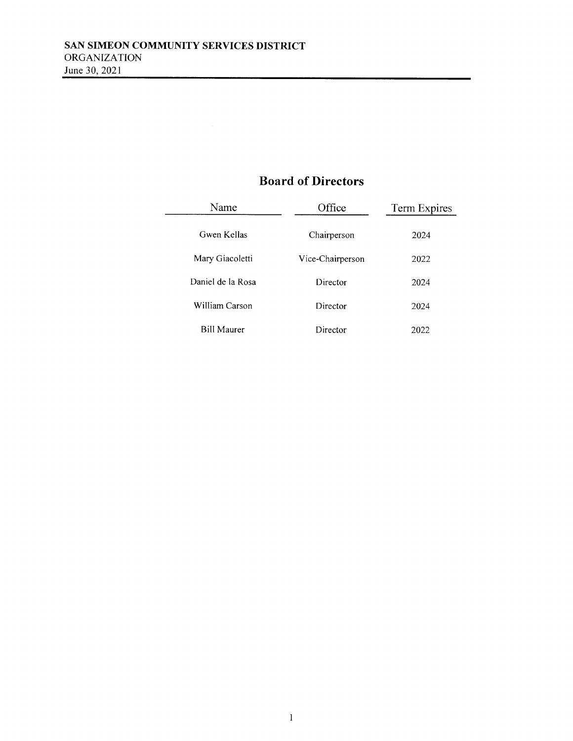# **Board of Directors**

| Name               | Office           |      |
|--------------------|------------------|------|
| Gwen Kellas        | Chairperson      | 2024 |
| Mary Giacoletti    | Vice-Chairperson | 2022 |
| Daniel de la Rosa  | Director         | 2024 |
| William Carson     | Director         | 2024 |
| <b>Bill Maurer</b> | Director         | 2022 |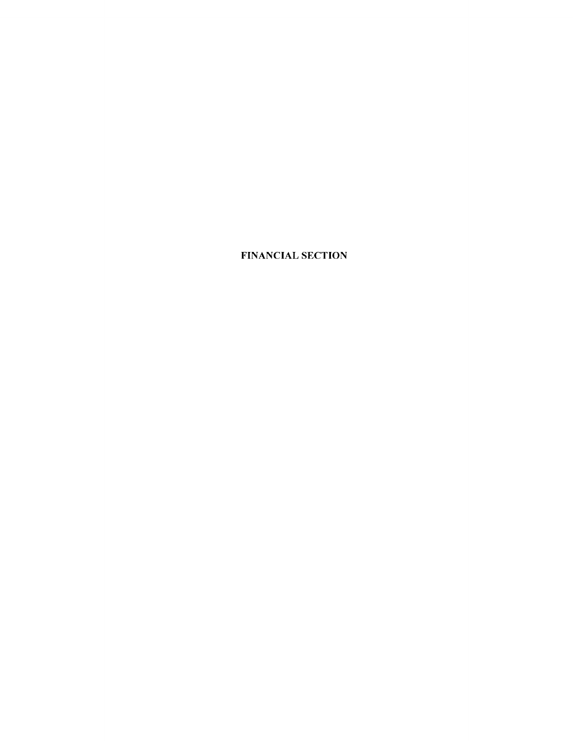**FINANCIAL SECTION**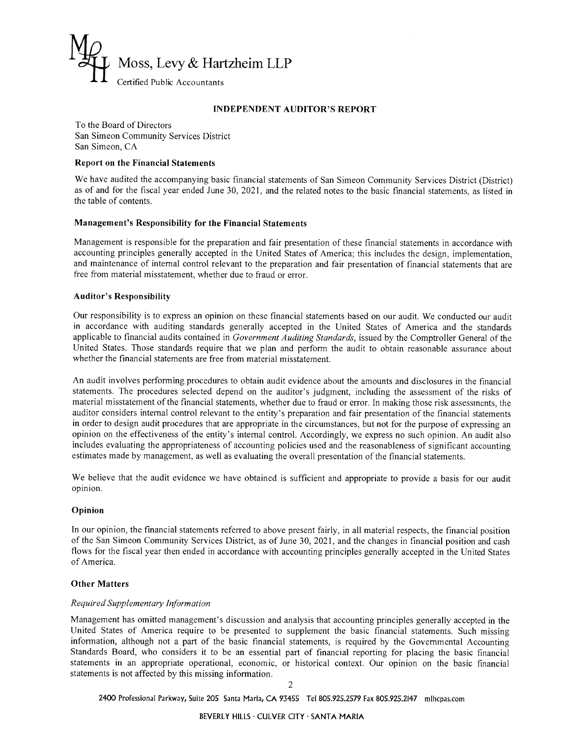

#### INDEPENDENT AUDITOR'S REPORT

To the Board of Directors San Simeon Community Services District San Simeon, CA

#### Report on the Financial Statements

We have audited the accompanying basic financial statements of San Simeon Community Services District (District) as of and for the fiscal year ended June 30, 2021, and the related notes to the basic financial statements, as listed in the table of contents.

#### Management's Responsibility for the Financial Statements

Management is responsible for the preparation and fair presentation of these financial statements in accordance with accounting principles generally accepted in the United States of America; this includes the design, implementation, and maintenance of internal control relevant to the preparation and fair presentation of financial statements that are free from material misstatement, whether due to fraud or *error.* 

#### Auditor's Responsibility

Our responsibility is to express an opinion on these financial statements based on our audit. We conducted our audit in accordance with auditing standards generally accepted in the United States of America and the standards applicable to financial audits contained in *Government Auditing Standards*, issued by the Comptroller General of the United States. Those standards require that we plan and perform the audit to obtain reasonable assurance about whether the financial statements are free from material misstatement.

An audit involves performing procedures to obtain audit evidence about the amounts and disclosures in the financial statements. The procedures selected depend on the auditor's judgment, including the assessment of the risks of material misstatement of the financial statements, whether due to fraud or error. In making those risk assessments, the auditor considers internal control relevant to the entity's preparation and fair presentation of the financial statements in order to design audit procedures that are appropriate in the circumstances, but not for the purpose of expressing an opinion on the effectiveness of the entity's internal control. Accordingly, we express no such opinion. An audit also includes evaluating the appropriateness of accounting policies used and the reasonableness of significant accounting estimates made by management, as well as evaluating the overall presentation of the financial statements.

We believe that the audit evidence we have obtained is sufficient and appropriate to provide a basis for our audit opinion.

#### Opinion

In our opinion, the financial statements referred to above present fairly, in all material respects, the financial position of the San Simeon Community Services District, as of June 30, 2021, and the changes in financial position and cash flows for the fiscal year then ended in accordance with accounting principles generally accepted in the United States of America.

#### **Other Matters**

#### $Required$  Supplementary Information

Management has omitted management's discussion and analysis that accounting principles generally accepted in the United States of America require to be presented to supplement the basic financial statements. Such missing information, although not a part of the basic financial statements, is required by the governmental Accounting Standards Board, who considers it to be an essential part of financial reporting for placing the basic financial statements in an appropriate operational, economic, or historical context. Our opinion on the basic financial statements is not affected by this missing information.

2

2400 Professional Parkway, Suite 205 Santa Maria, CA 93455 Tel 805.925.2579 Fax 805.925.2147 mihcpas.com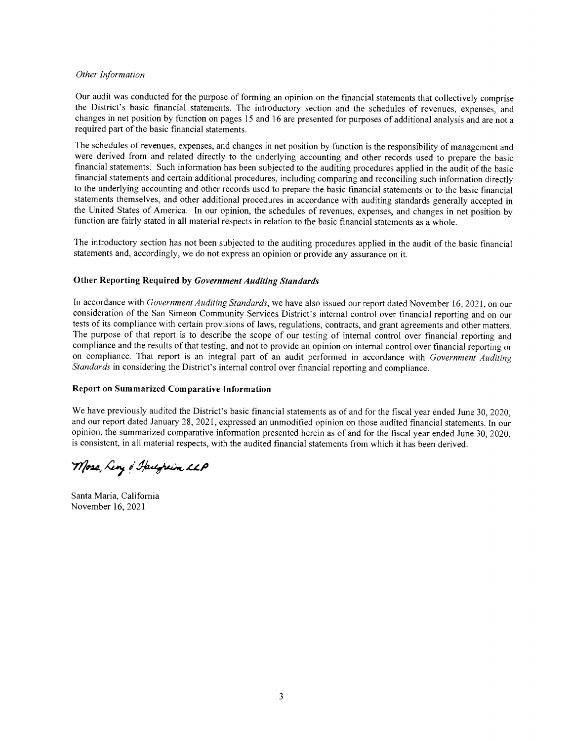#### *Other Information*

Our audit was conducted for the purpose of forming an opinion on the financial statements that collectively comprise the District's basic financial statements. The introductory section and the schedules of revenues, expenses, and changes in net position by function on pages 15 and 16 are presented for purposes of additional analysis and are not a required part of the basic financial statements.

The schedules of revenues, expenses, and changes in net position by function is the responsibility of management and were derived from and related directly to the underlying accounting and other records used to prepare the basic financial statements. Such information has been subjected to the auditing procedures applied in the audit of the basic financial statements and certain additional procedures, including comparing and reconciling such information directly to the underlying accounting and other records used to prepare the basic financial statements or to the basic financial statements themselves, and other additional procedures in accordance with auditing standards generally accepted in the United States of America. In our opinion, the schedules of revenues, expenses, and changes in net position by function are fairly stated in all material respects in relation to the basic financial statements as a whole.

The introductory section has not been subjected to the auditing procedures applied in the audit of the basic financial statements and, accordingly, we do not express an opinion or provide any assurance on it.

#### Other Reporting Required by *Government Auditing Standards*

In accordance with *Government Auditing Standards,* we have also issued our report dated November 16, 2021, on our consideration of the San Simeon Community Services District's internal control over financial reporting and on our tests of its compliance with certain provisions of laws, regulations, contracts, and grant agreements and other matters. The purpose of that report is to describe the scope of our testing of internal control over financial reporting and compliance and the results of that testing, and not to provide an opinion on internal control over financial reporting or on compliance. That report is an integral part of an audit performed in accordance with *Government Auditing Standards* in considering the District's internal control over financial reporting and compliance.

#### Report on Summarized Comparative Information

We have previously audited the District's basic financial statements as of and for the fiscal year ended June 30, 2020, and our report dated January 28, 2021, expressed an unmodified opinion on those audited financial statements. In our opinion, the summarized comparative information presented herein as of and for the fiscal year ended June 30, 2020, is consistent, in all material respects, with the audited financial statements from which it has been derived.

Mosa, Leny ó Haugrein LLP

Santa Maria, California November 16, 2021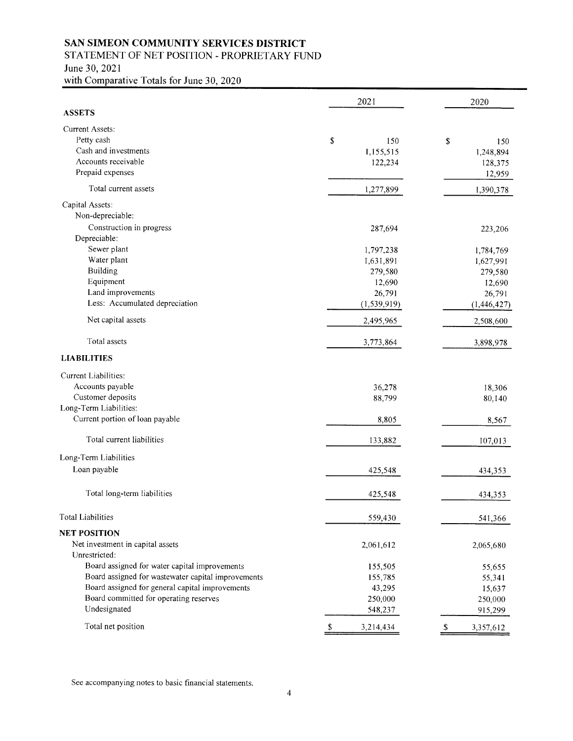# STATEMENT OF NET POSITION - PROPRIETARY FUND

June 30, 2021

with Comparative Totals for June 30, 2020

|                                                    | 2021              | 2020           |  |  |
|----------------------------------------------------|-------------------|----------------|--|--|
| <b>ASSETS</b>                                      |                   |                |  |  |
| Current Assets:                                    |                   |                |  |  |
| Petty cash                                         | \$<br>150         | \$<br>150      |  |  |
| Cash and investments                               | 1,155,515         | 1,248,894      |  |  |
| Accounts receivable                                | 122,234           | 128,375        |  |  |
| Prepaid expenses                                   |                   | 12,959         |  |  |
| Total current assets                               | 1,277,899         | 1,390,378      |  |  |
| Capital Assets:                                    |                   |                |  |  |
| Non-depreciable:                                   |                   |                |  |  |
| Construction in progress                           | 287,694           | 223,206        |  |  |
| Depreciable:                                       |                   |                |  |  |
| Sewer plant                                        | 1,797,238         | 1,784,769      |  |  |
| Water plant                                        | 1,631,891         | 1,627,991      |  |  |
| Building                                           | 279,580           | 279,580        |  |  |
| Equipment                                          | 12,690            | 12,690         |  |  |
| Land improvements                                  | 26,791            | 26,791         |  |  |
| Less: Accumulated depreciation                     | (1, 539, 919)     | (1,446,427)    |  |  |
| Net capital assets                                 | 2,495,965         | 2,508,600      |  |  |
| Total assets                                       | 3,773,864         | 3,898,978      |  |  |
| <b>LIABILITIES</b>                                 |                   |                |  |  |
| <b>Current Liabilities:</b>                        |                   |                |  |  |
| Accounts payable                                   | 36,278            | 18,306         |  |  |
| Customer deposits                                  | 88,799            | 80,140         |  |  |
| Long-Term Liabilities:                             |                   |                |  |  |
| Current portion of loan payable                    | 8,805             | 8,567          |  |  |
| Total current liabilities                          | 133,882           | 107,013        |  |  |
| Long-Term Liabilities                              |                   |                |  |  |
| Loan payable                                       | 425,548           | 434,353        |  |  |
| Total long-term liabilities                        | 425,548           | 434,353        |  |  |
| <b>Total Liabilities</b>                           | 559,430           | 541,366        |  |  |
| <b>NET POSITION</b>                                |                   |                |  |  |
| Net investment in capital assets                   | 2,061,612         | 2,065,680      |  |  |
| Unrestricted:                                      |                   |                |  |  |
| Board assigned for water capital improvements      | 155,505           | 55,655         |  |  |
| Board assigned for wastewater capital improvements | 155,785           | 55,341         |  |  |
| Board assigned for general capital improvements    | 43,295            | 15,637         |  |  |
| Board committed for operating reserves             | 250,000           | 250,000        |  |  |
| Undesignated                                       | 548,237           | 915,299        |  |  |
| Total net position                                 | 3,214,434<br>- \$ | 3,357,612<br>5 |  |  |

See accompanying notes to basic fïnancial statements.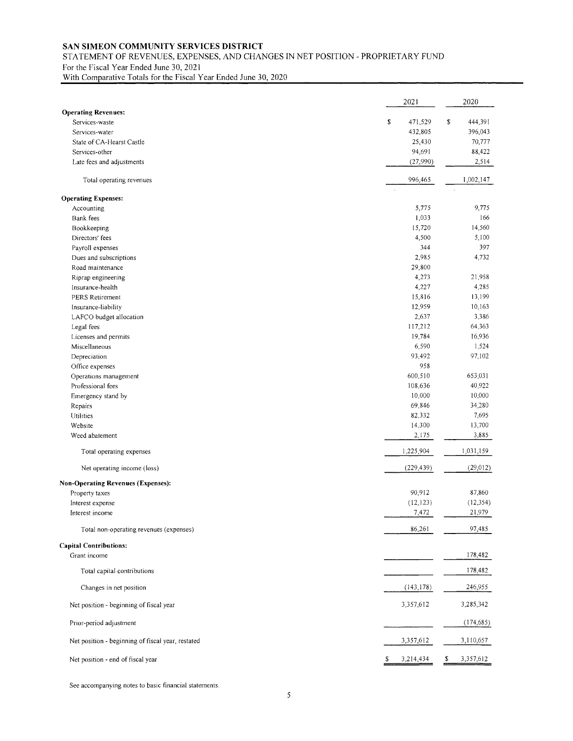STATEMENT OF REVENUES, EXPENSES, AND CHANGES IN NET POSITION - PROPRIETARY FUND For the Fiscal Year Ended June 30, 2021

With Comparative Totals for the Fiscal Year Ended June 30, 2020

| <b>Operating Revenues:</b><br>\$<br>\$<br>444,391<br>471,529<br>Services-waste<br>396,043<br>432,805<br>Services-water<br>70,777<br>25,430<br>State of CA-Hearst Castle<br>94,691<br>88,422<br>Services-other<br>(27,990)<br>2,514<br>Late fees and adjustments<br>996,465<br>1,002,147<br>Total operating revenues<br>÷.<br><b>Operating Expenses:</b><br>5,775<br>9,775<br>Accounting<br>Bank fees<br>1,033<br>166<br>14,560<br>15,720<br>Bookkeeping<br>5,100<br>Directors' fees<br>4,500<br>344<br>397<br>Payroll expenses<br>2,985<br>4,732<br>Dues and subscriptions<br>29,800<br>Road maintenance<br>4,273<br>21,958<br>Riprap engineering<br>4,227<br>4,285<br>Insurance-health<br>13,199<br>PERS Retirement<br>15,816<br>12,959<br>10,163<br>Insurance-liability<br>3,386<br>2,637<br>LAFCO budget allocation<br>Legal fees<br>117,212<br>64,363<br>19,784<br>16,936<br>Licenses and permits<br>6,590<br>1,524<br>Miscellaneous<br>93,492<br>97,102<br>Depreciation<br>958<br>Office expenses<br>600,510<br>653,031<br>Operations management<br>40,922<br>108,636<br>Professional fees<br>10,000<br>10,000<br>Emergency stand by<br>69,846<br>34,280<br>Repairs<br>82,332<br>7,695<br>Utilities<br>13,700<br>14,300<br>Website<br>2,175<br>3,885<br>Weed abatement<br>1,225,904<br>1,031,159<br>Total operating expenses<br>(29, 012)<br>(229, 439)<br>Net operating income (loss)<br><b>Non-Operating Revenues (Expenses):</b><br>90,912<br>87,860<br>Property taxes<br>(12, 123)<br>(12, 354)<br>Interest expense<br>7,472<br>21,979<br>Interest income<br>86,261<br>97,485<br>Total non-operating revenues (expenses)<br>178,482<br>Grant income<br>178,482<br>Total capital contributions<br>(143, 178)<br>246,955<br>Changes in net position<br>3,357,612<br>3,285,342<br>Net position - beginning of fiscal year<br>(174, 685)<br>Prior-period adjustment<br>3,357,612<br>3,110,657<br>Net position - beginning of fiscal year, restated<br>Net position - end of fiscal year<br>\$<br>3,214,434<br>3,357,612<br>\$ |                               | 2021 | 2020 |
|------------------------------------------------------------------------------------------------------------------------------------------------------------------------------------------------------------------------------------------------------------------------------------------------------------------------------------------------------------------------------------------------------------------------------------------------------------------------------------------------------------------------------------------------------------------------------------------------------------------------------------------------------------------------------------------------------------------------------------------------------------------------------------------------------------------------------------------------------------------------------------------------------------------------------------------------------------------------------------------------------------------------------------------------------------------------------------------------------------------------------------------------------------------------------------------------------------------------------------------------------------------------------------------------------------------------------------------------------------------------------------------------------------------------------------------------------------------------------------------------------------------------------------------------------------------------------------------------------------------------------------------------------------------------------------------------------------------------------------------------------------------------------------------------------------------------------------------------------------------------------------------------------------------------------------------------------------------------------------------------------------------------------------|-------------------------------|------|------|
|                                                                                                                                                                                                                                                                                                                                                                                                                                                                                                                                                                                                                                                                                                                                                                                                                                                                                                                                                                                                                                                                                                                                                                                                                                                                                                                                                                                                                                                                                                                                                                                                                                                                                                                                                                                                                                                                                                                                                                                                                                    |                               |      |      |
|                                                                                                                                                                                                                                                                                                                                                                                                                                                                                                                                                                                                                                                                                                                                                                                                                                                                                                                                                                                                                                                                                                                                                                                                                                                                                                                                                                                                                                                                                                                                                                                                                                                                                                                                                                                                                                                                                                                                                                                                                                    |                               |      |      |
|                                                                                                                                                                                                                                                                                                                                                                                                                                                                                                                                                                                                                                                                                                                                                                                                                                                                                                                                                                                                                                                                                                                                                                                                                                                                                                                                                                                                                                                                                                                                                                                                                                                                                                                                                                                                                                                                                                                                                                                                                                    |                               |      |      |
|                                                                                                                                                                                                                                                                                                                                                                                                                                                                                                                                                                                                                                                                                                                                                                                                                                                                                                                                                                                                                                                                                                                                                                                                                                                                                                                                                                                                                                                                                                                                                                                                                                                                                                                                                                                                                                                                                                                                                                                                                                    |                               |      |      |
|                                                                                                                                                                                                                                                                                                                                                                                                                                                                                                                                                                                                                                                                                                                                                                                                                                                                                                                                                                                                                                                                                                                                                                                                                                                                                                                                                                                                                                                                                                                                                                                                                                                                                                                                                                                                                                                                                                                                                                                                                                    |                               |      |      |
|                                                                                                                                                                                                                                                                                                                                                                                                                                                                                                                                                                                                                                                                                                                                                                                                                                                                                                                                                                                                                                                                                                                                                                                                                                                                                                                                                                                                                                                                                                                                                                                                                                                                                                                                                                                                                                                                                                                                                                                                                                    |                               |      |      |
|                                                                                                                                                                                                                                                                                                                                                                                                                                                                                                                                                                                                                                                                                                                                                                                                                                                                                                                                                                                                                                                                                                                                                                                                                                                                                                                                                                                                                                                                                                                                                                                                                                                                                                                                                                                                                                                                                                                                                                                                                                    |                               |      |      |
|                                                                                                                                                                                                                                                                                                                                                                                                                                                                                                                                                                                                                                                                                                                                                                                                                                                                                                                                                                                                                                                                                                                                                                                                                                                                                                                                                                                                                                                                                                                                                                                                                                                                                                                                                                                                                                                                                                                                                                                                                                    |                               |      |      |
|                                                                                                                                                                                                                                                                                                                                                                                                                                                                                                                                                                                                                                                                                                                                                                                                                                                                                                                                                                                                                                                                                                                                                                                                                                                                                                                                                                                                                                                                                                                                                                                                                                                                                                                                                                                                                                                                                                                                                                                                                                    |                               |      |      |
|                                                                                                                                                                                                                                                                                                                                                                                                                                                                                                                                                                                                                                                                                                                                                                                                                                                                                                                                                                                                                                                                                                                                                                                                                                                                                                                                                                                                                                                                                                                                                                                                                                                                                                                                                                                                                                                                                                                                                                                                                                    |                               |      |      |
|                                                                                                                                                                                                                                                                                                                                                                                                                                                                                                                                                                                                                                                                                                                                                                                                                                                                                                                                                                                                                                                                                                                                                                                                                                                                                                                                                                                                                                                                                                                                                                                                                                                                                                                                                                                                                                                                                                                                                                                                                                    |                               |      |      |
|                                                                                                                                                                                                                                                                                                                                                                                                                                                                                                                                                                                                                                                                                                                                                                                                                                                                                                                                                                                                                                                                                                                                                                                                                                                                                                                                                                                                                                                                                                                                                                                                                                                                                                                                                                                                                                                                                                                                                                                                                                    |                               |      |      |
|                                                                                                                                                                                                                                                                                                                                                                                                                                                                                                                                                                                                                                                                                                                                                                                                                                                                                                                                                                                                                                                                                                                                                                                                                                                                                                                                                                                                                                                                                                                                                                                                                                                                                                                                                                                                                                                                                                                                                                                                                                    |                               |      |      |
|                                                                                                                                                                                                                                                                                                                                                                                                                                                                                                                                                                                                                                                                                                                                                                                                                                                                                                                                                                                                                                                                                                                                                                                                                                                                                                                                                                                                                                                                                                                                                                                                                                                                                                                                                                                                                                                                                                                                                                                                                                    |                               |      |      |
|                                                                                                                                                                                                                                                                                                                                                                                                                                                                                                                                                                                                                                                                                                                                                                                                                                                                                                                                                                                                                                                                                                                                                                                                                                                                                                                                                                                                                                                                                                                                                                                                                                                                                                                                                                                                                                                                                                                                                                                                                                    |                               |      |      |
|                                                                                                                                                                                                                                                                                                                                                                                                                                                                                                                                                                                                                                                                                                                                                                                                                                                                                                                                                                                                                                                                                                                                                                                                                                                                                                                                                                                                                                                                                                                                                                                                                                                                                                                                                                                                                                                                                                                                                                                                                                    |                               |      |      |
|                                                                                                                                                                                                                                                                                                                                                                                                                                                                                                                                                                                                                                                                                                                                                                                                                                                                                                                                                                                                                                                                                                                                                                                                                                                                                                                                                                                                                                                                                                                                                                                                                                                                                                                                                                                                                                                                                                                                                                                                                                    |                               |      |      |
|                                                                                                                                                                                                                                                                                                                                                                                                                                                                                                                                                                                                                                                                                                                                                                                                                                                                                                                                                                                                                                                                                                                                                                                                                                                                                                                                                                                                                                                                                                                                                                                                                                                                                                                                                                                                                                                                                                                                                                                                                                    |                               |      |      |
|                                                                                                                                                                                                                                                                                                                                                                                                                                                                                                                                                                                                                                                                                                                                                                                                                                                                                                                                                                                                                                                                                                                                                                                                                                                                                                                                                                                                                                                                                                                                                                                                                                                                                                                                                                                                                                                                                                                                                                                                                                    |                               |      |      |
|                                                                                                                                                                                                                                                                                                                                                                                                                                                                                                                                                                                                                                                                                                                                                                                                                                                                                                                                                                                                                                                                                                                                                                                                                                                                                                                                                                                                                                                                                                                                                                                                                                                                                                                                                                                                                                                                                                                                                                                                                                    |                               |      |      |
|                                                                                                                                                                                                                                                                                                                                                                                                                                                                                                                                                                                                                                                                                                                                                                                                                                                                                                                                                                                                                                                                                                                                                                                                                                                                                                                                                                                                                                                                                                                                                                                                                                                                                                                                                                                                                                                                                                                                                                                                                                    |                               |      |      |
|                                                                                                                                                                                                                                                                                                                                                                                                                                                                                                                                                                                                                                                                                                                                                                                                                                                                                                                                                                                                                                                                                                                                                                                                                                                                                                                                                                                                                                                                                                                                                                                                                                                                                                                                                                                                                                                                                                                                                                                                                                    |                               |      |      |
|                                                                                                                                                                                                                                                                                                                                                                                                                                                                                                                                                                                                                                                                                                                                                                                                                                                                                                                                                                                                                                                                                                                                                                                                                                                                                                                                                                                                                                                                                                                                                                                                                                                                                                                                                                                                                                                                                                                                                                                                                                    |                               |      |      |
|                                                                                                                                                                                                                                                                                                                                                                                                                                                                                                                                                                                                                                                                                                                                                                                                                                                                                                                                                                                                                                                                                                                                                                                                                                                                                                                                                                                                                                                                                                                                                                                                                                                                                                                                                                                                                                                                                                                                                                                                                                    |                               |      |      |
|                                                                                                                                                                                                                                                                                                                                                                                                                                                                                                                                                                                                                                                                                                                                                                                                                                                                                                                                                                                                                                                                                                                                                                                                                                                                                                                                                                                                                                                                                                                                                                                                                                                                                                                                                                                                                                                                                                                                                                                                                                    |                               |      |      |
|                                                                                                                                                                                                                                                                                                                                                                                                                                                                                                                                                                                                                                                                                                                                                                                                                                                                                                                                                                                                                                                                                                                                                                                                                                                                                                                                                                                                                                                                                                                                                                                                                                                                                                                                                                                                                                                                                                                                                                                                                                    |                               |      |      |
|                                                                                                                                                                                                                                                                                                                                                                                                                                                                                                                                                                                                                                                                                                                                                                                                                                                                                                                                                                                                                                                                                                                                                                                                                                                                                                                                                                                                                                                                                                                                                                                                                                                                                                                                                                                                                                                                                                                                                                                                                                    |                               |      |      |
|                                                                                                                                                                                                                                                                                                                                                                                                                                                                                                                                                                                                                                                                                                                                                                                                                                                                                                                                                                                                                                                                                                                                                                                                                                                                                                                                                                                                                                                                                                                                                                                                                                                                                                                                                                                                                                                                                                                                                                                                                                    |                               |      |      |
|                                                                                                                                                                                                                                                                                                                                                                                                                                                                                                                                                                                                                                                                                                                                                                                                                                                                                                                                                                                                                                                                                                                                                                                                                                                                                                                                                                                                                                                                                                                                                                                                                                                                                                                                                                                                                                                                                                                                                                                                                                    |                               |      |      |
|                                                                                                                                                                                                                                                                                                                                                                                                                                                                                                                                                                                                                                                                                                                                                                                                                                                                                                                                                                                                                                                                                                                                                                                                                                                                                                                                                                                                                                                                                                                                                                                                                                                                                                                                                                                                                                                                                                                                                                                                                                    |                               |      |      |
|                                                                                                                                                                                                                                                                                                                                                                                                                                                                                                                                                                                                                                                                                                                                                                                                                                                                                                                                                                                                                                                                                                                                                                                                                                                                                                                                                                                                                                                                                                                                                                                                                                                                                                                                                                                                                                                                                                                                                                                                                                    |                               |      |      |
|                                                                                                                                                                                                                                                                                                                                                                                                                                                                                                                                                                                                                                                                                                                                                                                                                                                                                                                                                                                                                                                                                                                                                                                                                                                                                                                                                                                                                                                                                                                                                                                                                                                                                                                                                                                                                                                                                                                                                                                                                                    |                               |      |      |
|                                                                                                                                                                                                                                                                                                                                                                                                                                                                                                                                                                                                                                                                                                                                                                                                                                                                                                                                                                                                                                                                                                                                                                                                                                                                                                                                                                                                                                                                                                                                                                                                                                                                                                                                                                                                                                                                                                                                                                                                                                    |                               |      |      |
|                                                                                                                                                                                                                                                                                                                                                                                                                                                                                                                                                                                                                                                                                                                                                                                                                                                                                                                                                                                                                                                                                                                                                                                                                                                                                                                                                                                                                                                                                                                                                                                                                                                                                                                                                                                                                                                                                                                                                                                                                                    |                               |      |      |
|                                                                                                                                                                                                                                                                                                                                                                                                                                                                                                                                                                                                                                                                                                                                                                                                                                                                                                                                                                                                                                                                                                                                                                                                                                                                                                                                                                                                                                                                                                                                                                                                                                                                                                                                                                                                                                                                                                                                                                                                                                    |                               |      |      |
|                                                                                                                                                                                                                                                                                                                                                                                                                                                                                                                                                                                                                                                                                                                                                                                                                                                                                                                                                                                                                                                                                                                                                                                                                                                                                                                                                                                                                                                                                                                                                                                                                                                                                                                                                                                                                                                                                                                                                                                                                                    |                               |      |      |
|                                                                                                                                                                                                                                                                                                                                                                                                                                                                                                                                                                                                                                                                                                                                                                                                                                                                                                                                                                                                                                                                                                                                                                                                                                                                                                                                                                                                                                                                                                                                                                                                                                                                                                                                                                                                                                                                                                                                                                                                                                    |                               |      |      |
|                                                                                                                                                                                                                                                                                                                                                                                                                                                                                                                                                                                                                                                                                                                                                                                                                                                                                                                                                                                                                                                                                                                                                                                                                                                                                                                                                                                                                                                                                                                                                                                                                                                                                                                                                                                                                                                                                                                                                                                                                                    |                               |      |      |
|                                                                                                                                                                                                                                                                                                                                                                                                                                                                                                                                                                                                                                                                                                                                                                                                                                                                                                                                                                                                                                                                                                                                                                                                                                                                                                                                                                                                                                                                                                                                                                                                                                                                                                                                                                                                                                                                                                                                                                                                                                    |                               |      |      |
|                                                                                                                                                                                                                                                                                                                                                                                                                                                                                                                                                                                                                                                                                                                                                                                                                                                                                                                                                                                                                                                                                                                                                                                                                                                                                                                                                                                                                                                                                                                                                                                                                                                                                                                                                                                                                                                                                                                                                                                                                                    | <b>Capital Contributions:</b> |      |      |
|                                                                                                                                                                                                                                                                                                                                                                                                                                                                                                                                                                                                                                                                                                                                                                                                                                                                                                                                                                                                                                                                                                                                                                                                                                                                                                                                                                                                                                                                                                                                                                                                                                                                                                                                                                                                                                                                                                                                                                                                                                    |                               |      |      |
|                                                                                                                                                                                                                                                                                                                                                                                                                                                                                                                                                                                                                                                                                                                                                                                                                                                                                                                                                                                                                                                                                                                                                                                                                                                                                                                                                                                                                                                                                                                                                                                                                                                                                                                                                                                                                                                                                                                                                                                                                                    |                               |      |      |
|                                                                                                                                                                                                                                                                                                                                                                                                                                                                                                                                                                                                                                                                                                                                                                                                                                                                                                                                                                                                                                                                                                                                                                                                                                                                                                                                                                                                                                                                                                                                                                                                                                                                                                                                                                                                                                                                                                                                                                                                                                    |                               |      |      |
|                                                                                                                                                                                                                                                                                                                                                                                                                                                                                                                                                                                                                                                                                                                                                                                                                                                                                                                                                                                                                                                                                                                                                                                                                                                                                                                                                                                                                                                                                                                                                                                                                                                                                                                                                                                                                                                                                                                                                                                                                                    |                               |      |      |
|                                                                                                                                                                                                                                                                                                                                                                                                                                                                                                                                                                                                                                                                                                                                                                                                                                                                                                                                                                                                                                                                                                                                                                                                                                                                                                                                                                                                                                                                                                                                                                                                                                                                                                                                                                                                                                                                                                                                                                                                                                    |                               |      |      |
|                                                                                                                                                                                                                                                                                                                                                                                                                                                                                                                                                                                                                                                                                                                                                                                                                                                                                                                                                                                                                                                                                                                                                                                                                                                                                                                                                                                                                                                                                                                                                                                                                                                                                                                                                                                                                                                                                                                                                                                                                                    |                               |      |      |
|                                                                                                                                                                                                                                                                                                                                                                                                                                                                                                                                                                                                                                                                                                                                                                                                                                                                                                                                                                                                                                                                                                                                                                                                                                                                                                                                                                                                                                                                                                                                                                                                                                                                                                                                                                                                                                                                                                                                                                                                                                    |                               |      |      |

See accompanying notes to basic financial statements.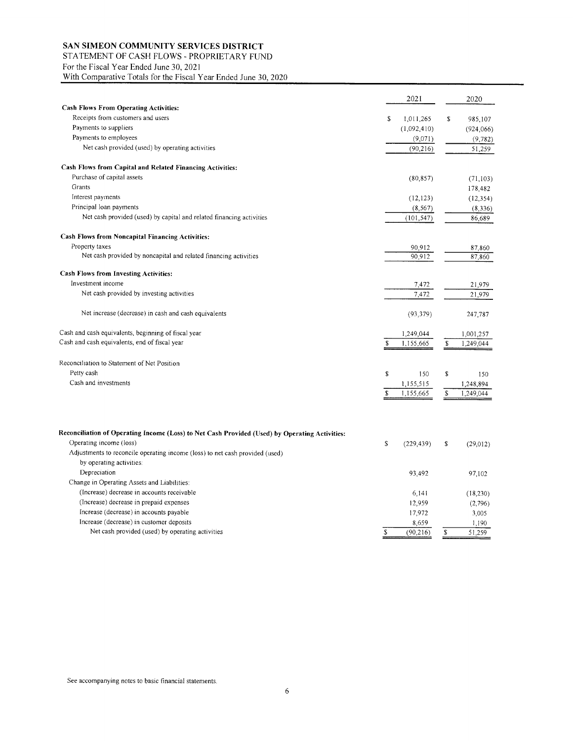## STATEMENT OF CASH FLOWS - PROPRIETARY FUND

For the Fiscal Year Ended June 30, 2021

With Comparative Totals for the Fiscal Year Ended June 30, 2020

|                                                                                                          |                         | 2021        |                         | 2020       |
|----------------------------------------------------------------------------------------------------------|-------------------------|-------------|-------------------------|------------|
| <b>Cash Flows From Operating Activities:</b>                                                             |                         |             |                         |            |
| Receipts from customers and users                                                                        | \$                      | 1,011,265   | \$                      | 985,107    |
| Payments to suppliers                                                                                    |                         | (1,092,410) |                         | (924, 066) |
| Payments to employees                                                                                    |                         | (9,071)     |                         | (9, 782)   |
| Net cash provided (used) by operating activities                                                         |                         | (90, 216)   |                         | 51,259     |
| Cash Flows from Capital and Related Financing Activities:                                                |                         |             |                         |            |
| Purchase of capital assets                                                                               |                         | (80, 857)   |                         | (71, 103)  |
| Grants                                                                                                   |                         |             |                         | 178,482    |
| Interest payments                                                                                        |                         | (12, 123)   |                         | (12, 354)  |
| Principal loan payments                                                                                  |                         | (8, 567)    |                         | (8, 336)   |
| Net cash provided (used) by capital and related financing activities                                     |                         | (101, 547)  |                         | 86,689     |
| Cash Flows from Noncapital Financing Activities:                                                         |                         |             |                         |            |
| Property taxes                                                                                           |                         | 90,912      |                         | 87,860     |
| Net cash provided by noncapital and related financing activities                                         |                         | 90.912      |                         | 87,860     |
| <b>Cash Flows from Investing Activities:</b>                                                             |                         |             |                         |            |
| Investment income                                                                                        |                         | 7,472       |                         | 21,979     |
| Net cash provided by investing activities                                                                |                         | 7,472       |                         | 21,979     |
| Net increase (decrease) in cash and cash equivalents                                                     |                         | (93, 379)   |                         | 247,787    |
| Cash and cash equivalents, beginning of fiscal year                                                      |                         | 1,249,044   |                         | 1,001,257  |
| Cash and cash equivalents, end of fiscal year                                                            | $\mathbf S$             | 1,155,665   | $\overline{\mathbf{S}}$ | 1,249,044  |
| Reconciliation to Statement of Net Position                                                              |                         |             |                         |            |
| Petty cash                                                                                               | $\mathbf S$             | 150         | \$                      | 150        |
| Cash and investments                                                                                     |                         | 1,155,515   |                         | 1,248,894  |
|                                                                                                          | $\mathbf{s}$            | 1,155,665   | \$                      | 1,249,044  |
|                                                                                                          |                         |             |                         |            |
| Reconciliation of Operating Income (Loss) to Net Cash Provided (Used) by Operating Activities:           |                         |             |                         |            |
| Operating income (loss)                                                                                  | S                       | (229, 439)  | \$                      | (29, 012)  |
| Adjustments to reconcile operating income (loss) to net cash provided (used)<br>by operating activities: |                         |             |                         |            |
| Depreciation                                                                                             |                         | 93,492      |                         | 97,102     |
| Change in Operating Assets and Liabilities:                                                              |                         |             |                         |            |
| (Increase) decrease in accounts receivable                                                               |                         | 6,141       |                         | (18, 230)  |
| (Increase) decrease in prepaid expenses                                                                  |                         | 12,959      |                         | (2,796)    |
| Increase (decrease) in accounts payable                                                                  |                         | 17,972      |                         | 3,005      |
| Increase (decrease) in customer deposits                                                                 |                         | 8,659       |                         | 1,190      |
| Net cash provided (used) by operating activities                                                         | $\overline{\mathbf{s}}$ | (90, 216)   | \$                      | 51.259     |

See accompanying notes to basic financial statements.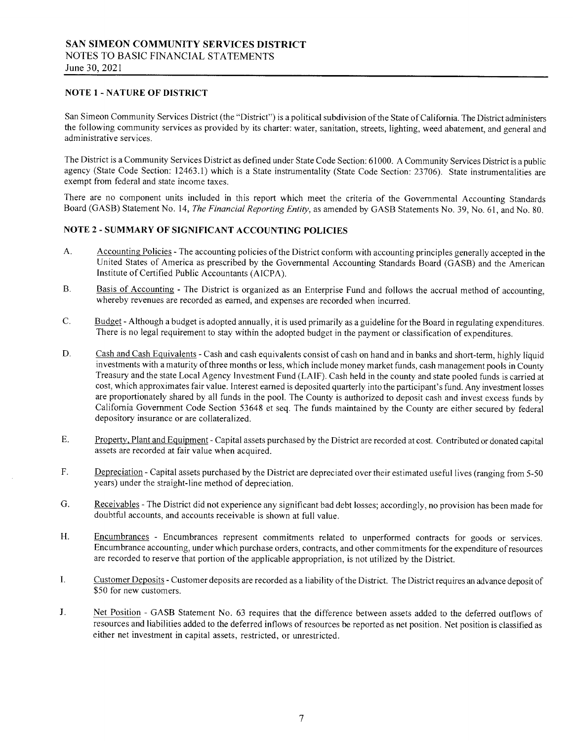#### **NOTE 1 - NATURE OF DISTRICT**

San Simeon Community Services District (the "District") is a political subdivision of the State of California. The District administers the following community services as provided by its charter: water, sanitation, streets, lighting, weed abatement, and general and administrative services.

The District is a Community Services District as defined under State Code Section: 61000. A Community Services District is a public agency (State Code Section: 12463.1) which is a State instrumentality (State Code Section: 23706). State instrumentalities are exempt from federal and state income taxes.

There are no component units included in this report which meet the criteria of the Governmental Accounting Standards Board (GASB) Statement No. 14, The Financial Reporting Entity, as amended by GASB Statements No. 39, No. 61, and No. 80.

#### NOTE 2 - SUMMARY OF SIGNIFICANT ACCOUNTING POLICIES

- A. Accounting Policies The accounting policies of the District conform with accounting principles generally accepted in the United States of America as prescribed by the Governmental Accounting Standards Board (GASB) and the American Institute of Certified Public Accountants {AICPA.
- B. Basis of Accounting The District is organized as an Enterprise Fund and follows the accrual method of accounting, whereby revenues are recorded as earned, and expenses are recorded when incurred.
- $C.$ Budget - Although a budget is adopted annually, it is used primarily as a guideline for the Board in regulating expenditures. There is no legal requirement to stay within the adopted budget in the payment or classification of expenditures.
- D. Cash and Cash Equivalents Cash and cash equivalents consist of cash on hand and in banks and short-term, highly liquid investments with a maturity of three months or less, which include money market funds, cash management pools in County Treasury and the state Local Agency Investment Fund {LATE}. Cash held ïn the county and state pooled funds ïs carried at cost, which approximates fair value. Interest earned is deposited quarterly into the participant's fund. Any investment losses are proportionately shared by all funds in the pool. The County is authorized to deposit cash and invest excess funds by California Government Code Section 53648 et seq. The funds maintained by the County are either secured by federal depository insurance or are collateralized.
- E. Property, Plant and Equipment Capital assets purchased by the District are recorded at cost. Contributed or donated capital assets are recorded at fair value when acquired.
- F. Depreciation -Capital assets purchased by the District are depreciated over their estimated useful lives {ranging from *5-So*  years) under the straight-line method of depreciation.
- G. Receivables The District did not experience any significant bad debt losses; accordingly, no provision has been made for doubtful accounts, and accounts receivable is shown at full value.
- H. Encumbrances Encumbrances represent commitments related to unperformed contracts for goods or services. Encumbrance accounting, under which purchase orders, contracts, and other commitments for the expenditure ofresources are recorded to reserve that portion of the applicable appropriation, is not utilized by the District.
- I. Customer Deposits -Customer deposits are recorded as a liability of the District. The District requires an advance deposit of \$50 for new customers.
- J. Net Position GASB Statement No. 63 requires that the difference between assets added to the deferred outflows of resources and liabilities added to the deferred inflows of resources be reported as net position. Net position is classified as either net investment in capital assets, restricted, or unrestricted.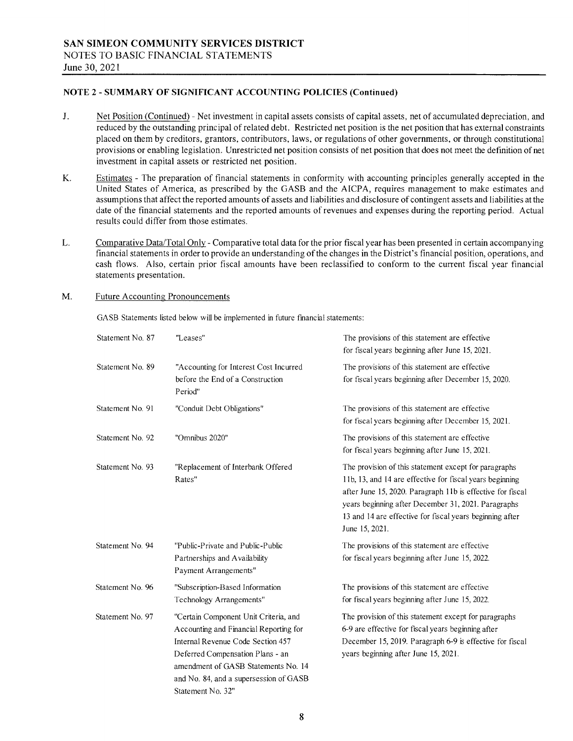# NOTE 2 - SUMMARY OF SIGNIFICANT ACCOUNTING POLICIES (Continued)

- J. Net Position {Continued} Net investment in capital assets consists of capital assets, net of accumulated depreciation, and reduced by the outstanding principal of related debt. Restricted net position is the net position that has external constraints placed on them by creditors, grantors, contributors, laws, or regulations of other governments, or through constitutional provisions or enabling legislation. Unrestricted net position consists of net position that does not meet the definition of net investment in capital assets or restricted net position.
- K. Estimates The preparation of financial statements in conformity with accounting principles generally accepted in the United States of America, as prescribed by the GASB and the AICPA, requires management to make estimates and assumptions that affect the reported amounts of assets and liabilities and disclosure of contingent assets and liabilities at the date of the financial statements and the reported amounts of revenues and expenses during the reporting period. Actual results could differ from those estimates.
- L,. Comparative Data/Total only -Comparative total data for the prior fiscal year has been presented in certain accompanying financial statements in order to provide an understanding ofthe changes in the District's financial position, operations, and cash flows. Also, certain prior fiscal amounts have been reclassified to conform to the current fiscal year financial statements presentation.
- M. Future Accounting Pronouncements

GASB Statements listed below will be implemented in future financial statements:

| Statement No. 87 | "Leases"                                                                                                                                                                                                                                                       | The provisions of this statement are effective<br>for fiscal years beginning after June 15, 2021.                                                                                                                                                                                                                    |
|------------------|----------------------------------------------------------------------------------------------------------------------------------------------------------------------------------------------------------------------------------------------------------------|----------------------------------------------------------------------------------------------------------------------------------------------------------------------------------------------------------------------------------------------------------------------------------------------------------------------|
| Statement No. 89 | "Accounting for Interest Cost Incurred<br>before the End of a Construction<br>Period"                                                                                                                                                                          | The provisions of this statement are effective<br>for fiscal years beginning after December 15, 2020.                                                                                                                                                                                                                |
| Statement No. 91 | "Conduit Debt Obligations"                                                                                                                                                                                                                                     | The provisions of this statement are effective<br>for fiscal years beginning after December 15, 2021.                                                                                                                                                                                                                |
| Statement No. 92 | "Omnibus 2020"                                                                                                                                                                                                                                                 | The provisions of this statement are effective<br>for fiscal years beginning after June 15, 2021.                                                                                                                                                                                                                    |
| Statement No. 93 | "Replacement of Interbank Offered<br>Rates"                                                                                                                                                                                                                    | The provision of this statement except for paragraphs<br>11b, 13, and 14 are effective for fiscal years beginning<br>after June 15, 2020. Paragraph 11b is effective for fiscal<br>years beginning after December 31, 2021. Paragraphs<br>13 and 14 are effective for fiscal years beginning after<br>June 15, 2021. |
| Statement No. 94 | "Public-Private and Public-Public<br>Partnerships and Availability<br>Payment Arrangements"                                                                                                                                                                    | The provisions of this statement are effective<br>for fiscal years beginning after June 15, 2022.                                                                                                                                                                                                                    |
| Statement No. 96 | "Subscription-Based Information<br>Technology Arrangements"                                                                                                                                                                                                    | The provisions of this statement are effective<br>for fiscal years beginning after June 15, 2022.                                                                                                                                                                                                                    |
| Statement No. 97 | "Certain Component Unit Criteria, and<br>Accounting and Financial Reporting for<br>Internal Revenue Code Section 457<br>Deferred Compensation Plans - an<br>amendment of GASB Statements No. 14<br>and No. 84, and a supersession of GASB<br>Statement No. 32" | The provision of this statement except for paragraphs<br>6-9 are effective for fiscal years beginning after<br>December 15, 2019. Paragraph 6-9 is effective for fiscal<br>years beginning after June 15, 2021.                                                                                                      |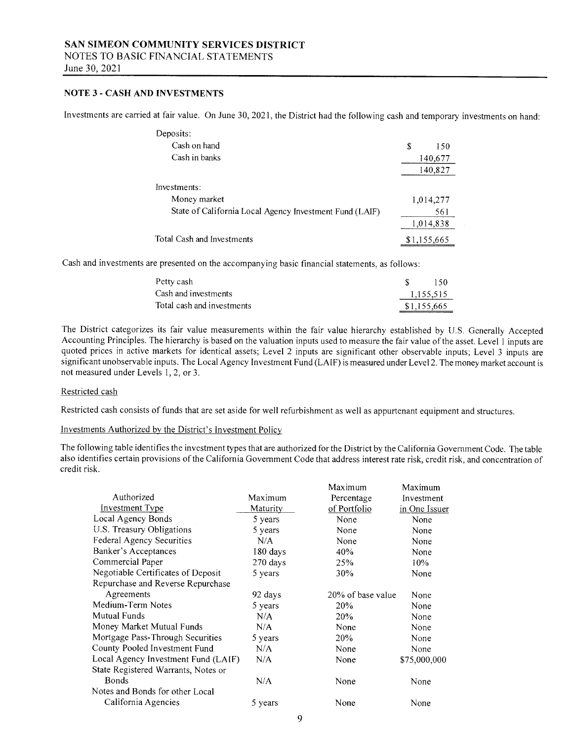#### NOTE 3 - CASH AND INVESTMENTS

Investments are carried at fair value. On June 30, 2021, the District had the following cash and temporary investments on hand:

| Deposits:                                               |             |
|---------------------------------------------------------|-------------|
| Cash on hand                                            | \$<br>150   |
| Cash in banks                                           | 140,677     |
|                                                         | 140,827     |
| Investments:                                            |             |
| Money market                                            | 1,014,277   |
| State of California Local Agency Investment Fund (LAIF) | 561         |
|                                                         | 1,014,838   |
| Total Cash and Investments                              | \$1,155,665 |

Cash and investments are presented on the accompanying basic financial statements, as follows:

| Petty cash                 |             | -150 |
|----------------------------|-------------|------|
| Cash and investments       | 1,155,515   |      |
| Total cash and investments | \$1,155,665 |      |

The District categorizes its fair value measurements within the fair value hierarchy established by U.S. generally Accepted Accounting Principles. The hierarchy is based on the valuation inputs used to measure the fair value of the asset. Level 1 inputs are quoted prices in active markets for identical assets; Level 2 inputs are significant other observable inputs; Level 3 inputs are significant unobservable inputs. The Local Agency Investment Fund (LAIF) is measured under Level 2. The money market account is not measured under Levels 1, 2, or 3.

## Restricted cash

Restricted cash consists of funds that are set aside for well refurbishment as well as appurtenant equipment and structures.

#### Investments Authorized by the District's Investment Policy

The following table identifies the investment types that are authorized for the District by the California Government Code. The table also identifies certain provisions of the California Government Code that address interest rate risk, credit risk, and concentration of credit risk.

|                                     |          | Maximum           | Maximum       |
|-------------------------------------|----------|-------------------|---------------|
| Authorized                          | Maximum  | Percentage        | Investment    |
| <b>Investment Type</b>              | Maturity | of Portfolio      | in One Issuer |
| Local Agency Bonds                  | 5 years  | None              | None          |
| U.S. Treasury Obligations           | 5 years  | None              | None          |
| Federal Agency Securities           | N/A      | None              | None          |
| Banker's Acceptances                | 180 days | 40%               | None          |
| Commercial Paper                    | 270 days | 25%               | 10%           |
| Negotiable Certificates of Deposit  | 5 years  | 30%               | None          |
| Repurchase and Reverse Repurchase   |          |                   |               |
| Agreements                          | 92 days  | 20% of base value | None          |
| Medium-Term Notes                   | 5 years  | <b>20%</b>        | None          |
| <b>Mutual Funds</b>                 | N/A      | <b>20%</b>        | None          |
| Money Market Mutual Funds           | N/A      | None              | None          |
| Mortgage Pass-Through Securities    | 5 years  | 20%               | None          |
| County Pooled Investment Fund       | N/A      | None              | None          |
| Local Agency Investment Fund (LAIF) | N/A      | None              | \$75,000,000  |
| State Registered Warrants, Notes or |          |                   |               |
| Bonds                               | N/A      | None              | None          |
| Notes and Bonds for other Local     |          |                   |               |
| California Agencies                 | 5 years  | None              | None          |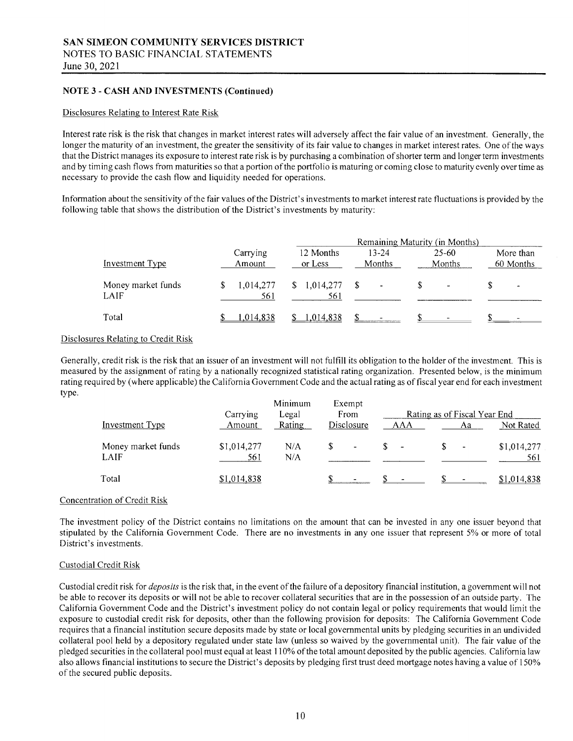### NOTE 3 - CASH AND INVESTMENTS (Continued)

#### Disclosures Relating to Interest Rate Risk

Interest rate risk is the risk that changes in market interest rates will adversely affect the fair value of an investment. Generally, the longer the maturity of an investment, the greater the sensitivity of its fair value to changes in market interest rates. One of the ways that the District manages its exposure to interest rate risk is by purchasing a combination of shorter term and longer term investments and by timing cash flows from maturities so that a portion of the portfolio is maturing or coming close to maturity evenly over time as necessary to provide the cash flow and liquidity needed for operations.

Information about the sensitivity of the fair values of the District's investments to market interest rate fluctuations is provided by the following table that shows the distribution of the District's investments by maturity:

| Investment Type            |                    |                      |                     | Remaining Maturity (in Months) |                          |
|----------------------------|--------------------|----------------------|---------------------|--------------------------------|--------------------------|
|                            | Carrying<br>Amount | 12 Months<br>or Less | $13 - 24$<br>Months | 25-60<br>Months                | More than<br>60 Months   |
| Money market funds<br>LAIF | 1,014,277<br>561   | \$1,014,277<br>561   |                     | $\overline{\phantom{a}}$       | $\overline{\phantom{a}}$ |
| Total                      | 1.014.838          | 1.014.838            |                     |                                |                          |

#### Disclosures Relating to Credit Risk

Generally, credit risk is the risk that an issuer of an investment will not fulfill its obligation to the holder of the investment. This is measured by the assignment of rating by a nationally recognized statistical rating organization. Presented below, is the minimum rating required by {where applicable) the California Government Code and the actual rating as of fiscal year end for each investment type.

|                            | Carrying           | Minimum<br>Legal | Exempt<br>From           |     | Rating as of Fiscal Year End |                    |
|----------------------------|--------------------|------------------|--------------------------|-----|------------------------------|--------------------|
| Investment Type            | Amount             | Rating           | Disclosure               | AAA | Aa                           | Not Rated          |
| Money market funds<br>LAIF | \$1,014,277<br>561 | N/A<br>N/A       | $\overline{\phantom{0}}$ | \$  | $\overline{\phantom{a}}$     | \$1,014,277<br>561 |
| Total                      | \$1,014,838        |                  |                          |     |                              | \$1,014,838        |

#### Concentration of Credit Risk

The investment policy of the District contains no limitations on the amount that can be invested in any one issuer beyond that stipulated by the California Government Code. There are no investments in any one issuer that represent 5% or more of total District's investments.

#### Custodial Credit Risk

Custodial credit risk for *deposits* is the risk that, in the event of the failure of a depository financial institution, a government will not be able to recover its deposits or will not be able to recover collateral securities that are in the possession of an outside party. The California Government Code and the District's investment policy do not contain legal or policy requirements that would limit the exposure to custodial credit risk for deposits, other than the following provision for deposits: The California Government Code requires that a financial institution secure deposits made by state or local governmental units by pledging securities in an undivided collateral pool held by a depository regulated under state law (unless so waived by the governmental unitj. The fair value of the pledged securities in the collateral pool must equal at least 110% of the total amount deposited by the public agencies. California law also allows financial institutions to secure the District's deposits by pledging first trust deed mortgage notes having a value of 150% of the secured public deposits.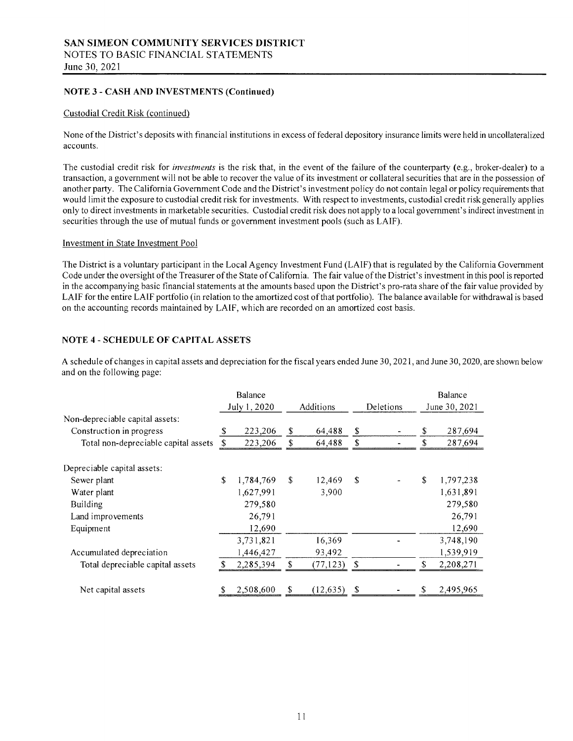# NOTE 3 - CASH AND INVESTMENTS (Continued)

### Custodial Credit Risk (continued)

None ofthe District's deposits with financial institutions in excess of federal depository insurance limits were held in uncollateralized accounts.

The custodial credit risk for *investments* is the risk that, in the event of the failure of the counterparty (e.g., broker-dealer) to a transaction, a government will not be able to recover the value of its investment or collateral securities that are in the possession of another party. The California Government Code and the District's investment policy do not contain legal or policy requirements that would limit the exposure to custodial credit risk for investments. With respect to investments, custodial credit risk generally applies only to direct investments in marketable securities. Custodial credit risk does not apply to a local government's indirect investment in securities through the use of mutual funds or government investment pools (such as LAIF).

### Investment in State Investment Pool

The District is a voluntary participant in the Local Agency Investment Fund LAIF) that is regulated by the California Government Code under the oversight ofthe Treasurer of the State of California. The fair value ofthe District's investment in this pool is reported in the accompanying basic financial statements at the amounts based upon the District's pro-rata share of the fair value provided by LAIF *for the* entire LAIF portfolio (in relation to the amortized cost of that portfolio). The balance available for withdrawal is based on the accounting records maintained by LAIF, which are recorded on an amortized cost basis.

# **NOTE 4 - SCHEDULE OF CAPITAL ASSETS**

A schedule of changes in capital assets and depreciation for the fiscal years ended June 30, 2021, and June 30, 2024, are shown below and on the following page:

|                                      |    | Balance      |    |           |    |           |             | Balance       |  |
|--------------------------------------|----|--------------|----|-----------|----|-----------|-------------|---------------|--|
|                                      |    | July 1, 2020 |    | Additions |    | Deletions |             | June 30, 2021 |  |
| Non-depreciable capital assets:      |    |              |    |           |    |           |             |               |  |
| Construction in progress             | \$ | 223,206      | \$ | 64,488    | \$ |           | \$          | 287,694       |  |
| Total non-depreciable capital assets | S  | 223,206      | \$ | 64,488    | \$ |           | \$          | 287,694       |  |
| Depreciable capital assets:          |    |              |    |           |    |           |             |               |  |
| Sewer plant                          | \$ | 1,784,769    | \$ | 12,469    | \$ |           | $\mathbf S$ | 1,797,238     |  |
| Water plant                          |    | 1,627,991    |    | 3,900     |    |           |             | 1,631,891     |  |
| Building                             |    | 279,580      |    |           |    |           |             | 279,580       |  |
| Land improvements                    |    | 26,791       |    |           |    |           |             | 26,791        |  |
| Equipment                            |    | 12,690       |    |           |    |           |             | 12,690        |  |
|                                      |    | 3,731,821    |    | 16,369    |    |           |             | 3,748,190     |  |
| Accumulated depreciation             |    | 1,446,427    |    | 93,492    |    |           |             | 1,539,919     |  |
| Total depreciable capital assets     |    | 2,285,394    | \$ | (77, 123) | S  |           |             | 2,208,271     |  |
| Net capital assets                   | \$ | 2,508,600    | \$ | (12, 635) | \$ |           |             | 2,495,965     |  |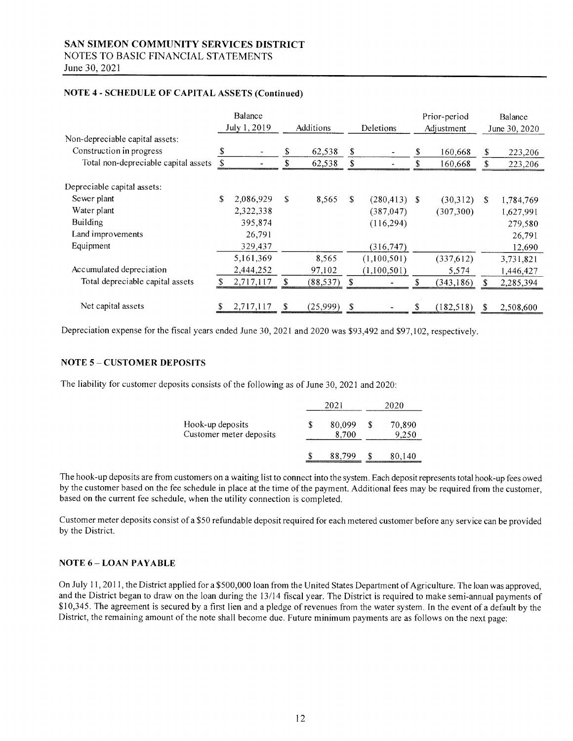# SAN SIMEON COMMUNITY SERVICES DISTRICT NOTES TO BASIC FINANCIAL STATEMENTS June 30, 2021

|                                      | Balance<br>July 1, 2019 |           | Additions     |           |               | Deletions       |   | Prior-period<br>Adjustment | Balance<br>June 30, 2020 |           |  |
|--------------------------------------|-------------------------|-----------|---------------|-----------|---------------|-----------------|---|----------------------------|--------------------------|-----------|--|
| Non-depreciable capital assets:      |                         |           |               |           |               |                 |   |                            |                          |           |  |
| Construction in progress             | S                       |           | S             | 62,538    | \$            |                 | S | 160,668                    | \$                       | 223,206   |  |
| Total non-depreciable capital assets |                         |           |               | 62,538    | \$            |                 |   | 160,668                    | \$                       | 223,206   |  |
| Depreciable capital assets:          |                         |           |               |           |               |                 |   |                            |                          |           |  |
| Sewer plant                          | \$                      | 2,086,929 | <sup>\$</sup> | 8,565     | <sup>\$</sup> | $(280, 413)$ \$ |   | (30,312)                   | <sup>\$</sup>            | 1,784,769 |  |
| Water plant                          |                         | 2,322,338 |               |           |               | (387, 047)      |   | (307,300)                  |                          | 1,627,991 |  |
| <b>Building</b>                      |                         | 395,874   |               |           |               | (116, 294)      |   |                            |                          | 279,580   |  |
| Land improvements                    |                         | 26,791    |               |           |               |                 |   |                            |                          | 26,791    |  |
| Equipment                            |                         | 329,437   |               |           |               | (316,747)       |   |                            |                          | 12,690    |  |
|                                      |                         | 5,161,369 |               | 8,565     |               | (1,100,501)     |   | (337,612)                  |                          | 3,731,821 |  |
| Accumulated depreciation             |                         | 2,444,252 |               | 97,102    |               | (1,100,501)     |   | 5,574                      |                          | 1,446,427 |  |
| Total depreciable capital assets     | S                       | 2,717,117 | \$            | (88, 537) |               |                 |   | (343, 186)                 | S.                       | 2,285,394 |  |
| Net capital assets                   | S                       | 2,717,117 | \$            | (25,999)  |               |                 |   | (182, 518)                 | \$.                      | 2,508,600 |  |

# NOTE 4 - SCHEDULE OF CAPITAL ASSETS (Continued)

Depreciation expense for the fiscal years ended June 30, 2021 and 2020 was \$93,492 and \$97,102, respectively.

# NOTE 5-CUSTOMER DEPOSITS

The liability for customer deposits consists of the following as of June 30, 2021 and 2020:

|                                             |   | 2021            |   | 2020            |  |  |  |
|---------------------------------------------|---|-----------------|---|-----------------|--|--|--|
| Hook-up deposits<br>Customer meter deposits | S | 80,099<br>8.700 | S | 70,890<br>9.250 |  |  |  |
|                                             |   | 88,799          |   | 80,140          |  |  |  |

The hook-up deposits are from customers on a waiting list to connect into the system. Each deposit represents total hook-up fees owed by the customer based on the fee schedule in place at the time of the payment. Additional fees may be required from the customer, based on the current fee schedule, when the utility connection is completed.

Customer meter deposits consist of a \$50 refundable deposit required for each metered customer before any service can be provided by the District.

### NOTE 6 – LOAN PAYABLE

On July 11, 2011, the District applied for a \$500,000 loan from the United States Department of Agriculture. The loan was approved, and the District began to draw on the loan during the 13/14 fiscal year. The District is required to make semi-annual payments of \$10,345. The agreement is secured by a first lien and a pledge of revenues from the water system. In the event of a default by the District, the remaining amount of the note shall become due. Future minimum payments are as follows on the next page: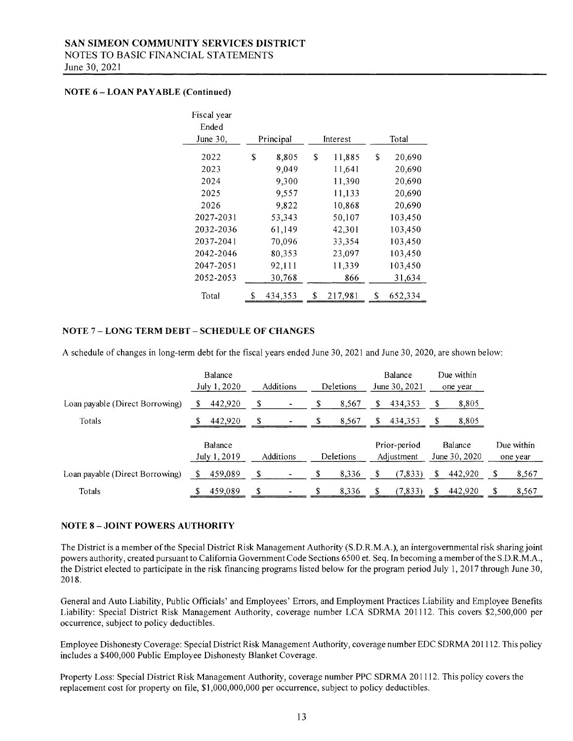#### NOTE 6 -LOAN PAYABLE (Continued)

| Fiscal year |           |         |               |              |
|-------------|-----------|---------|---------------|--------------|
| Ended       |           |         |               |              |
| June $30$ , | Principal |         | Interest      | Total        |
| 2022        | \$        | 8,805   | \$<br>11,885  | \$<br>20,690 |
| 2023        |           | 9,049   | 11,641        | 20,690       |
| 2024        |           | 9,300   | 11,390        | 20,690       |
| 2025        |           | 9,557   | 11,133        | 20,690       |
| 2026        |           | 9,822   | 10,868        | 20,690       |
| 2027-2031   |           | 53,343  | 50.107        | 103,450      |
| 2032-2036   |           | 61,149  | 42,301        | 103,450      |
| 2037-2041   |           | 70,096  | 33,354        | 103,450      |
| 2042-2046   |           | 80,353  | 23,097        | 103,450      |
| 2047-2051   |           | 92,111  | 11,339        | 103,450      |
| 2052-2053   |           | 30,768  | 866           | 31,634       |
| Total       |           | 434,353 | \$<br>217,981 | 652,334      |

#### NOTE 7 -LONG TERM DEBT -SCHEDULE OF CHANGES

A schedule of changes in long-term debt for the fiscal years ended June 30, 2021 and June 30, 2020, are shown below:

|                                 | Balance<br>July 1, 2020 | Additions |  | Deletions |           | Balance<br>June 30, 2021 |                            | Due within<br>one year |                          |                        |
|---------------------------------|-------------------------|-----------|--|-----------|-----------|--------------------------|----------------------------|------------------------|--------------------------|------------------------|
| Loan payable (Direct Borrowing) | 442,920                 | \$        |  |           | 8,567     | S                        | 434,353                    |                        | 8,805                    |                        |
| Totals                          | 442,920                 | \$        |  |           | 8,567     |                          | 434,353                    |                        | 8,805                    |                        |
|                                 | Balance<br>July 1, 2019 | Additions |  |           | Deletions |                          | Prior-period<br>Adjustment |                        | Balance<br>June 30, 2020 | Due within<br>one year |
| Loan payable (Direct Borrowing) | 459,089                 | \$        |  |           | 8,336     |                          | (7, 833)                   | \$                     | 442,920                  | 8,567                  |
| Totals                          | 459,089                 | \$        |  |           | 8,336     |                          | (7, 833)                   |                        | 442,920                  | 8,567                  |

#### NOTE 8 - JOINT POWERS AUTHORITY

The District is a member of the Special District Risk Management Authority (S.D.R.M.A.), an intergovernmental risk sharing joint powers authority, created pursuant to California Government Code Sections 6500 et. Seq. In becoming a member of the S.D.R.M.A., the District elected to participate in the risk financing programs listed below for the program period July 1, 2017 through June 30, 2018.

General and Auto Liability, Public Officials' and Employees' Errors, and Employment Practices Liability and Employee Benefits Liability: Special District Risk Management Authority, coverage number LCA SDRMA 201112. This covers \$2,500,000 per occurrence, subject to policy deductibles.

Employee Dishonesty Coverage: Special District Risk Management Authority, coverage number EDC SDRMA 201112. This policy includes a \$400,000 Public Employee Dishonesty Blanket Coverage.

Property Loss: Special District Risk Management Authority, coverage number PPC SDRMA 201112. This policy covers the replacement cost for property on file, \$1,000,000,000 per occurrence, subject to policy deductibles.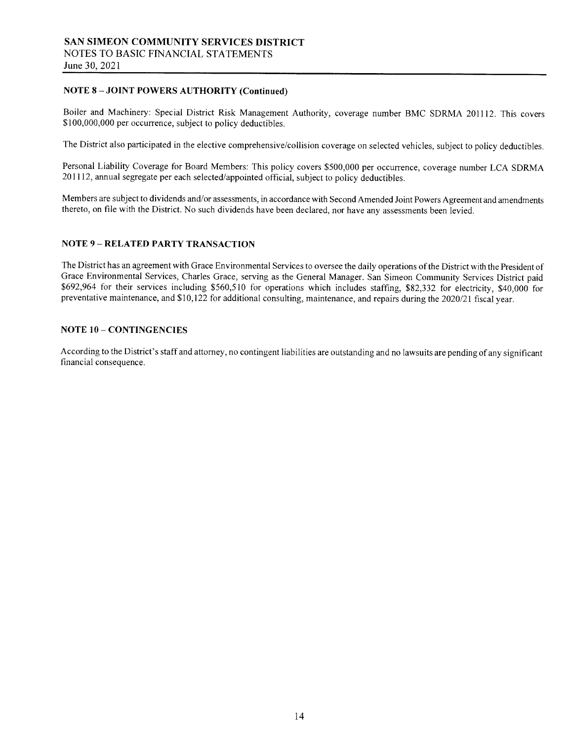## NOTE 8 - JOINT POWERS AUTHORITY (Continued)

Boiler and Machinery: Special District Risk Management Authority, coverage number BMC SDRMA 201112. This covers 100,000,000 per occurrence, subject to policy deductibles.

The District also participated in the elective comprehensive/collision coverage on selected vehicles, subject to policy deductibles.

Personal Liability Coverage for Board Members: This policy covers \$500,000 per occurrence, coverage number LCA SDRMA 201112, annual segregate per each selected/appointed official, subject to policy deductibles.

Members are subject to dividends and/or assessments, in accordance with Second Amended Joint Powers Agreement and amendments thereto, on file with the District. No such dividends have been declared, nor have any assessments been levied.

# NOTE 9 – RELATED PARTY TRANSACTION

The District has an agreement with Grace Environmental Services to oversee the daily operations of the District with the President of Grace Environmental Services, Charles Grace, serving as the General Manager. San Simeon Community Services District paid ~~2,9b4 for their services including Só0,510 for operations which includes staffing, *X82,332* for electricity, X40,000 for preventative maintenance, and \$10,122 for additional consulting, maintenance, and repairs during the 2020/21 fiscal year.

## NOTE 10 - CONTINGENCIES

According to the District's staff and attorney, no contingent liabilities are outstanding and no lawsuits are pending of any significant financial consequence.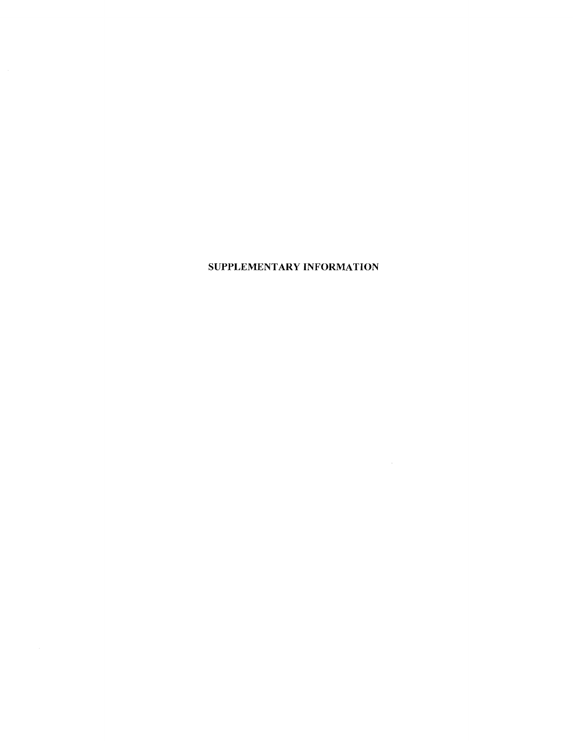# SUPPLEMENTARY INFORMATION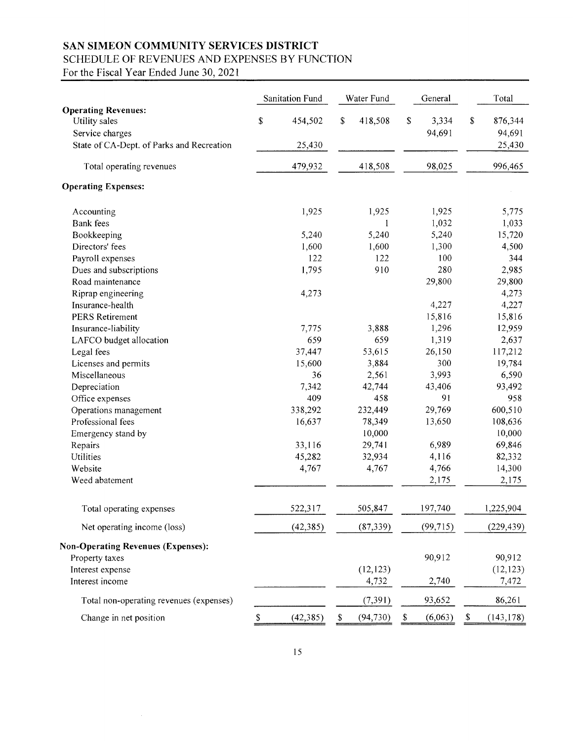# SCHEDULE OF REVENUES AND EXPENSES BY FUNCTION

For the Fiscal Year Ended June 30, 2021

|                                           | <b>Sanitation Fund</b> |      | Water Fund | General       | Total            |
|-------------------------------------------|------------------------|------|------------|---------------|------------------|
| <b>Operating Revenues:</b>                |                        |      |            |               |                  |
| Utility sales                             | \$<br>454,502          | \$   | 418,508    | \$<br>3,334   | \$<br>876,344    |
| Service charges                           |                        |      |            | 94,691        | 94,691           |
| State of CA-Dept. of Parks and Recreation | 25,430                 |      |            |               | 25,430           |
| Total operating revenues                  | 479,932                |      | 418,508    | 98,025        | 996,465          |
| <b>Operating Expenses:</b>                |                        |      |            |               |                  |
| Accounting                                | 1,925                  |      | 1,925      | 1,925         | 5,775            |
| <b>Bank</b> fees                          |                        |      | 1          | 1,032         | 1,033            |
| Bookkeeping                               | 5,240                  |      | 5,240      | 5,240         | 15,720           |
| Directors' fees                           | 1,600                  |      | 1,600      | 1,300         | 4,500            |
| Payroll expenses                          | 122                    |      | 122        | 100           | 344              |
| Dues and subscriptions                    | 1,795                  |      | 910        | 280           | 2,985            |
| Road maintenance                          |                        |      |            | 29,800        | 29,800           |
| Riprap engineering                        | 4,273                  |      |            |               | 4,273            |
| Insurance-health                          |                        |      |            | 4,227         | 4,227            |
| <b>PERS Retirement</b>                    |                        |      |            | 15,816        | 15,816           |
| Insurance-liability                       | 7,775                  |      | 3,888      | 1,296         | 12,959           |
| LAFCO budget allocation                   | 659                    |      | 659        | 1,319         | 2,637            |
| Legal fees                                | 37,447                 |      | 53,615     | 26,150        | 117,212          |
| Licenses and permits                      | 15,600                 |      | 3,884      | 300           | 19,784           |
| Miscellaneous                             | 36                     |      | 2,561      | 3,993         | 6,590            |
| Depreciation                              | 7,342                  |      | 42,744     | 43,406        | 93,492           |
| Office expenses                           | 409                    |      | 458        | 91            | 958              |
| Operations management                     | 338,292                |      | 232,449    | 29,769        | 600,510          |
| Professional fees                         | 16,637                 |      | 78,349     | 13,650        | 108,636          |
| Emergency stand by                        |                        |      | 10,000     |               | 10,000           |
| Repairs                                   | 33,116                 |      | 29,741     | 6,989         | 69,846           |
| Utilities                                 | 45,282                 |      | 32,934     | 4,116         | 82,332           |
| Website                                   | 4,767                  |      | 4,767      | 4,766         | 14,300           |
| Weed abatement                            |                        |      |            | 2,175         | 2,175            |
| Total operating expenses                  | 522,317                |      | 505,847    | 197,740       | 1,225,904        |
| Net operating income (loss)               | (42, 385)              |      | (87, 339)  | (99, 715)     | (229, 439)       |
|                                           |                        |      |            |               |                  |
| <b>Non-Operating Revenues (Expenses):</b> |                        |      |            | 90,912        |                  |
| Property taxes                            |                        |      |            |               | 90,912           |
| Interest expense                          |                        |      | (12, 123)  |               | (12, 123)        |
| Interest income                           |                        |      | 4,732      | 2,740         | 7,472            |
| Total non-operating revenues (expenses)   |                        |      | (7, 391)   | 93,652        | 86,261           |
| Change in net position                    | \$<br>(42, 385)        | $\$$ | (94, 730)  | \$<br>(6,063) | \$<br>(143, 178) |